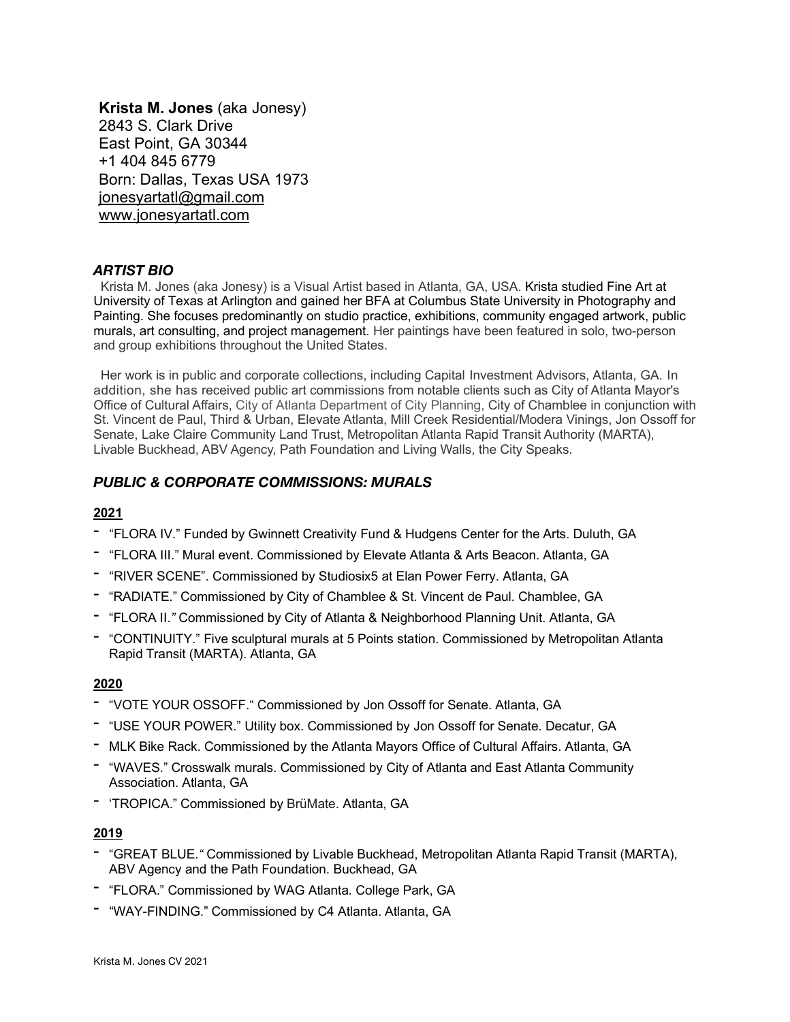**Krista M. Jones** (aka Jonesy) 2843 S. Clark Drive East Point, GA 30344 +1 404 845 6779 Born: Dallas, Texas USA 1973 jonesyartatl@gmail.com www.jonesyartatl.com

## *ARTIST BIO*

Krista M. Jones (aka Jonesy) is a Visual Artist based in Atlanta, GA, USA. Krista studied Fine Art at University of Texas at Arlington and gained her BFA at Columbus State University in Photography and Painting. She focuses predominantly on studio practice, exhibitions, community engaged artwork, public murals, art consulting, and project management. Her paintings have been featured in solo, two-person and group exhibitions throughout the United States.

 Her work is in public and corporate collections, including Capital Investment Advisors, Atlanta, GA. In addition, she has received public art commissions from notable clients such as City of Atlanta Mayor's Office of Cultural Affairs, City of Atlanta Department of City Planning, City of Chamblee in conjunction with St. Vincent de Paul, Third & Urban, Elevate Atlanta, Mill Creek Residential/Modera Vinings, Jon Ossoff for Senate, Lake Claire Community Land Trust, Metropolitan Atlanta Rapid Transit Authority (MARTA), Livable Buckhead, ABV Agency, Path Foundation and Living Walls, the City Speaks.

## *PUBLIC & CORPORATE COMMISSIONS: MURALS*

### **2021**

- "FLORA IV." Funded by Gwinnett Creativity Fund & Hudgens Center for the Arts. Duluth, GA
- "FLORA III." Mural event. Commissioned by Elevate Atlanta & Arts Beacon. Atlanta, GA
- "RIVER SCENE". Commissioned by Studiosix5 at Elan Power Ferry. Atlanta, GA
- "RADIATE." Commissioned by City of Chamblee & St. Vincent de Paul. Chamblee, GA
- "FLORA II.*"* Commissioned by City of Atlanta & Neighborhood Planning Unit. Atlanta, GA
- "CONTINUITY." Five sculptural murals at 5 Points station. Commissioned by Metropolitan Atlanta Rapid Transit (MARTA). Atlanta, GA

#### **2020**

- "VOTE YOUR OSSOFF." Commissioned by Jon Ossoff for Senate. Atlanta, GA
- "USE YOUR POWER." Utility box. Commissioned by Jon Ossoff for Senate. Decatur, GA
- MLK Bike Rack. Commissioned by the Atlanta Mayors Office of Cultural Affairs. Atlanta, GA
- "WAVES." Crosswalk murals. Commissioned by City of Atlanta and East Atlanta Community Association. Atlanta, GA
- 'TROPICA." Commissioned by BrüMate. Atlanta, GA

#### **2019**

- "GREAT BLUE*."* Commissioned by Livable Buckhead, Metropolitan Atlanta Rapid Transit (MARTA), ABV Agency and the Path Foundation. Buckhead, GA
- "FLORA." Commissioned by WAG Atlanta. College Park, GA
- "WAY-FINDING." Commissioned by C4 Atlanta. Atlanta, GA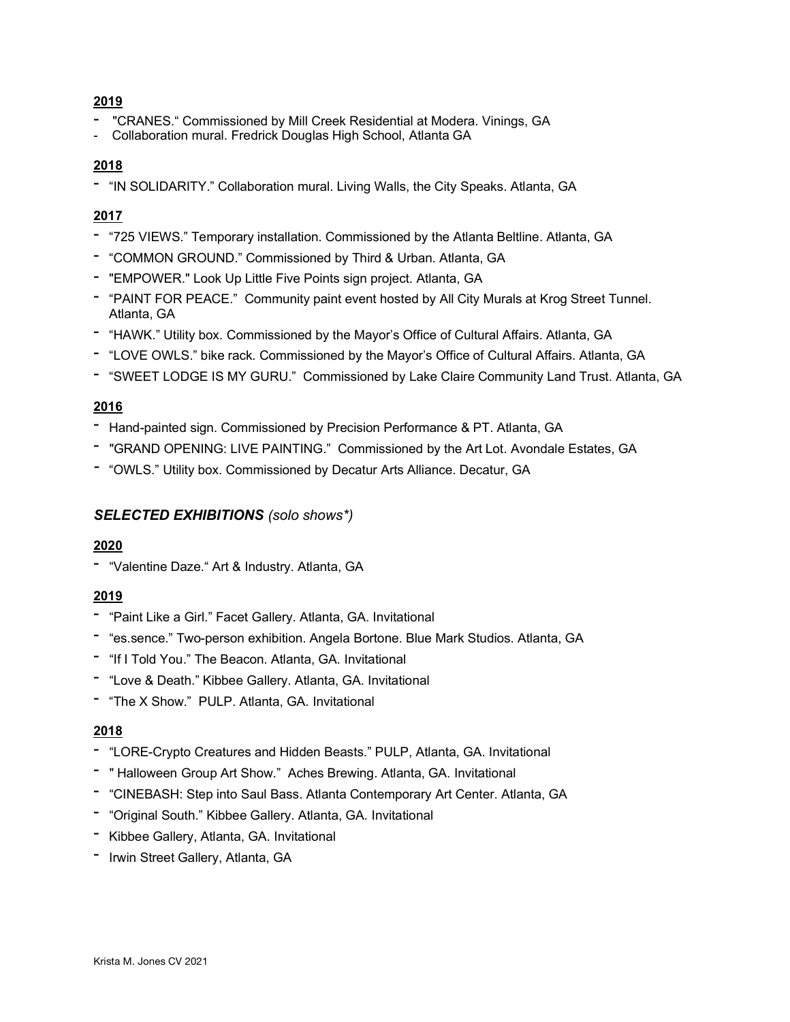## **2019**

- "CRANES." Commissioned by Mill Creek Residential at Modera. Vinings, GA
- Collaboration mural. Fredrick Douglas High School, Atlanta GA

### **2018**

- "IN SOLIDARITY." Collaboration mural. Living Walls, the City Speaks. Atlanta, GA

### **2017**

- "725 VIEWS." Temporary installation. Commissioned by the Atlanta Beltline. Atlanta, GA
- "COMMON GROUND." Commissioned by Third & Urban. Atlanta, GA
- "EMPOWER." Look Up Little Five Points sign project. Atlanta, GA
- "PAINT FOR PEACE." Community paint event hosted by All City Murals at Krog Street Tunnel. Atlanta, GA
- "HAWK." Utility box*.* Commissioned by the Mayor's Office of Cultural Affairs. Atlanta, GA
- "LOVE OWLS." bike rack*.* Commissioned by the Mayor's Office of Cultural Affairs. Atlanta, GA
- "SWEET LODGE IS MY GURU." Commissioned by Lake Claire Community Land Trust. Atlanta, GA

### **2016**

- Hand-painted sign. Commissioned by Precision Performance & PT. Atlanta, GA
- "GRAND OPENING: LIVE PAINTING." Commissioned by the Art Lot. Avondale Estates, GA
- *-* "OWLS." Utility box. Commissioned by Decatur Arts Alliance. Decatur, GA

## *SELECTED EXHIBITIONS (solo shows\*)*

#### **2020**

- "Valentine Daze." Art & Industry. Atlanta, GA

#### **2019**

- "Paint Like a Girl." Facet Gallery. Atlanta, GA. Invitational
- "es.sence." Two-person exhibition. Angela Bortone. Blue Mark Studios. Atlanta, GA
- "If I Told You." The Beacon. Atlanta, GA. Invitational
- "Love & Death." Kibbee Gallery. Atlanta, GA. Invitational
- "The X Show." PULP. Atlanta, GA. Invitational

#### **2018**

- "LORE-Crypto Creatures and Hidden Beasts." PULP, Atlanta, GA. Invitational
- " Halloween Group Art Show." Aches Brewing. Atlanta, GA. Invitational
- "CINEBASH: Step into Saul Bass. Atlanta Contemporary Art Center. Atlanta, GA
- "Original South." Kibbee Gallery. Atlanta, GA. Invitational
- Kibbee Gallery, Atlanta, GA. Invitational
- Irwin Street Gallery, Atlanta, GA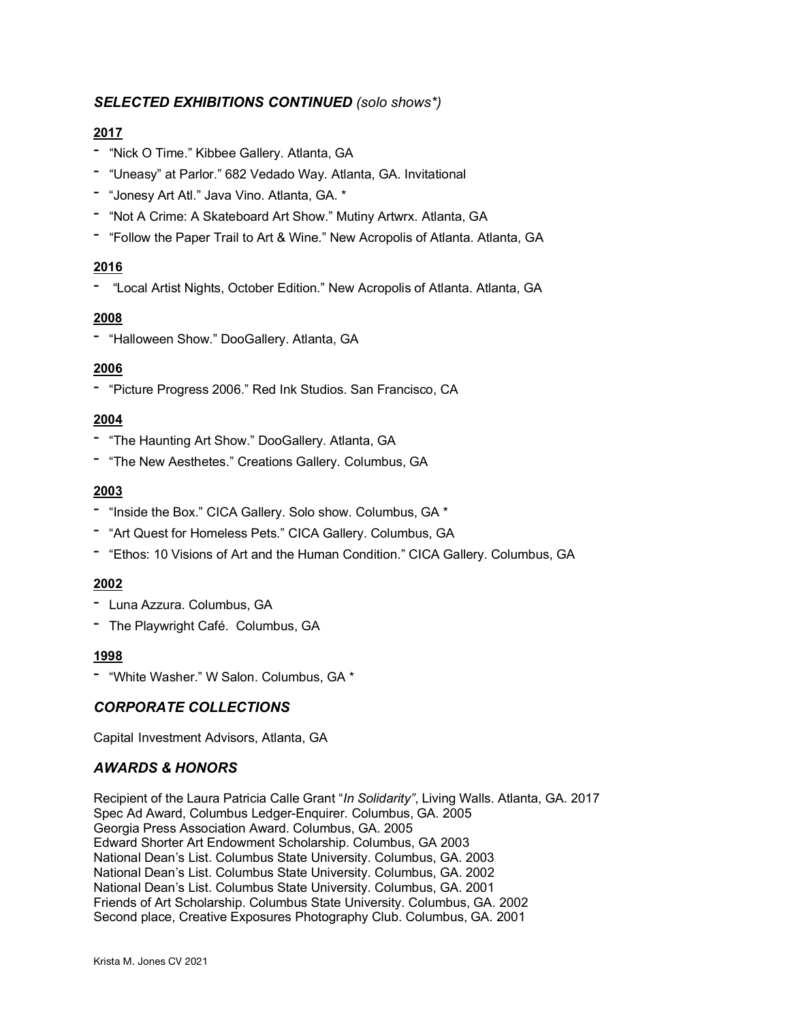# *SELECTED EXHIBITIONS CONTINUED (solo shows\*)*

## **2017**

- "Nick O Time." Kibbee Gallery. Atlanta, GA
- "Uneasy" at Parlor." 682 Vedado Way. Atlanta, GA. Invitational
- "Jonesy Art Atl." Java Vino. Atlanta, GA. \*
- "Not A Crime: A Skateboard Art Show." Mutiny Artwrx. Atlanta, GA
- "Follow the Paper Trail to Art & Wine." New Acropolis of Atlanta. Atlanta, GA

## **2016**

- "Local Artist Nights, October Edition." New Acropolis of Atlanta. Atlanta, GA

## **2008**

- "Halloween Show." DooGallery. Atlanta, GA

## **2006**

- "Picture Progress 2006." Red Ink Studios. San Francisco, CA

# **2004**

- "The Haunting Art Show." DooGallery. Atlanta, GA
- "The New Aesthetes." Creations Gallery. Columbus, GA

## **2003**

- "Inside the Box." CICA Gallery. Solo show. Columbus, GA \*
- "Art Quest for Homeless Pets." CICA Gallery. Columbus, GA
- "Ethos: 10 Visions of Art and the Human Condition." CICA Gallery. Columbus, GA

## **2002**

- Luna Azzura. Columbus, GA
- The Playwright Café. Columbus, GA

## **1998**

- "White Washer." W Salon. Columbus, GA \*

# *CORPORATE COLLECTIONS*

Capital Investment Advisors, Atlanta, GA

# *AWARDS & HONORS*

Recipient of the Laura Patricia Calle Grant "*In Solidarity"*, Living Walls. Atlanta, GA. 2017 Spec Ad Award, Columbus Ledger-Enquirer. Columbus, GA. 2005 Georgia Press Association Award. Columbus, GA. 2005 Edward Shorter Art Endowment Scholarship. Columbus, GA 2003 National Dean's List. Columbus State University. Columbus, GA. 2003 National Dean's List. Columbus State University. Columbus, GA. 2002 National Dean's List. Columbus State University. Columbus, GA. 2001 Friends of Art Scholarship. Columbus State University. Columbus, GA. 2002 Second place, Creative Exposures Photography Club. Columbus, GA. 2001